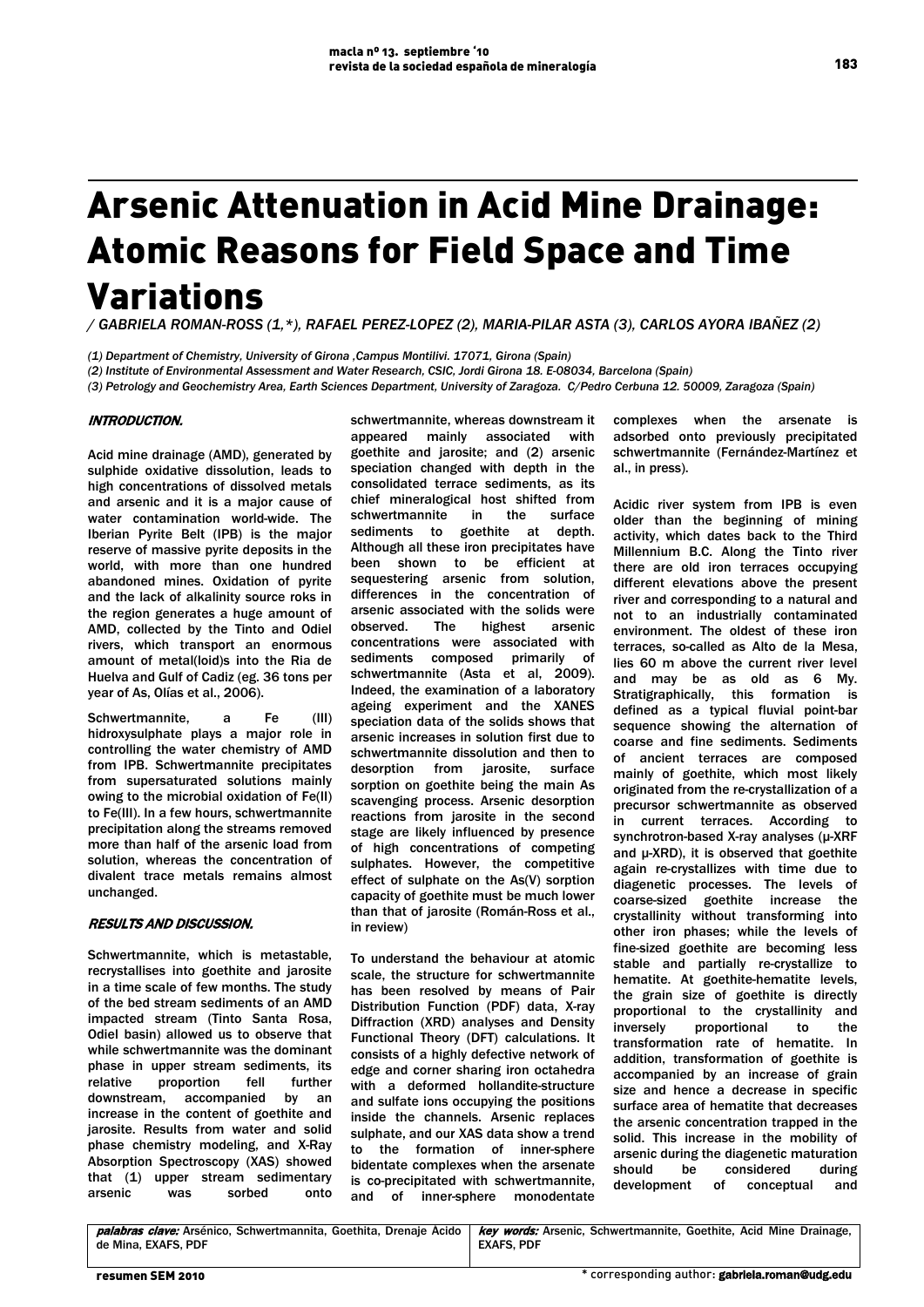# Arsenic Attenuation in Acid Mine Drainage: Atomic Reasons for Field Space and Time Variations

*/ GABRIELA ROMAN-ROSS (1,\*), RAFAEL PEREZ-LOPEZ (2), MARIA-PILAR ASTA (3), CARLOS AYORA IBAÑEZ (2)* 

*(1) Department of Chemistry, University of Girona ,Campus Montilivi. 17071, Girona (Spain)*

*(2) Institute of Environmental Assessment and Water Research, CSIC, Jordi Girona 18. E-08034, Barcelona (Spain)* 

*(3) Petrology and Geochemistry Area, Earth Sciences Department, University of Zaragoza. C/Pedro Cerbuna 12. 50009, Zaragoza (Spain)* 

### INTRODUCTION.

Acid mine drainage (AMD), generated by sulphide oxidative dissolution, leads to high concentrations of dissolved metals and arsenic and it is a major cause of water contamination world-wide. The Iberian Pyrite Belt (IPB) is the major reserve of massive pyrite deposits in the world, with more than one hundred abandoned mines. Oxidation of pyrite and the lack of alkalinity source roks in the region generates a huge amount of AMD, collected by the Tinto and Odiel rivers, which transport an enormous amount of metal(loid)s into the Ria de Huelva and Gulf of Cadiz (eg. 36 tons per year of As, Olías et al., 2006).

Schwertmannite, a Fe (III) hidroxysulphate plays a major role in controlling the water chemistry of AMD from IPB. Schwertmannite precipitates from supersaturated solutions mainly owing to the microbial oxidation of Fe(II) to Fe(III). In a few hours, schwertmannite precipitation along the streams removed more than half of the arsenic load from solution, whereas the concentration of divalent trace metals remains almost unchanged.

## RESULTS AND DISCUSSION.

Schwertmannite, which is metastable, recrystallises into goethite and jarosite in a time scale of few months. The study of the bed stream sediments of an AMD impacted stream (Tinto Santa Rosa, Odiel basin) allowed us to observe that while schwertmannite was the dominant phase in upper stream sediments, its relative proportion fell further downstream, accompanied by an increase in the content of goethite and jarosite. Results from water and solid phase chemistry modeling, and X-Ray Absorption Spectroscopy (XAS) showed that (1) upper stream sedimentary arsenic was sorbed onto

schwertmannite, whereas downstream it appeared mainly associated with goethite and jarosite; and (2) arsenic speciation changed with depth in the consolidated terrace sediments, as its chief mineralogical host shifted from schwertmannite in the surface sediments to goethite at depth. Although all these iron precipitates have been shown to be efficient at sequestering arsenic from solution, differences in the concentration of arsenic associated with the solids were observed. The highest arsenic concentrations were associated with sediments composed primarily of schwertmannite (Asta et al, 2009). Indeed, the examination of a laboratory ageing experiment and the XANES speciation data of the solids shows that arsenic increases in solution first due to schwertmannite dissolution and then to desorption from jarosite, surface sorption on goethite being the main As scavenging process. Arsenic desorption reactions from jarosite in the second stage are likely influenced by presence of high concentrations of competing sulphates. However, the competitive effect of sulphate on the As(V) sorption capacity of goethite must be much lower than that of jarosite (Román-Ross et al., in review)

To understand the behaviour at atomic scale, the structure for schwertmannite has been resolved by means of Pair Distribution Function (PDF) data, X-ray Diffraction (XRD) analyses and Density Functional Theory (DFT) calculations. It consists of a highly defective network of edge and corner sharing iron octahedra with a deformed hollandite-structure and sulfate ions occupying the positions inside the channels. Arsenic replaces sulphate, and our XAS data show a trend to the formation of inner-sphere bidentate complexes when the arsenate is co-precipitated with schwertmannite, and of inner-sphere monodentate complexes when the arsenate is adsorbed onto previously precipitated schwertmannite (Fernández-Martínez et al., in press).

Acidic river system from IPB is even older than the beginning of mining activity, which dates back to the Third Millennium B.C. Along the Tinto river there are old iron terraces occupying different elevations above the present river and corresponding to a natural and not to an industrially contaminated environment. The oldest of these iron terraces, so-called as Alto de la Mesa, lies 60 m above the current river level and may be as old as 6 My. Stratigraphically, this formation is defined as a typical fluvial point-bar sequence showing the alternation of coarse and fine sediments. Sediments of ancient terraces are composed mainly of goethite, which most likely originated from the re-crystallization of a precursor schwertmannite as observed in current terraces. According to synchrotron-based X-ray analyses (μ-XRF and μ-XRD), it is observed that goethite again re-crystallizes with time due to diagenetic processes. The levels of coarse-sized goethite increase the crystallinity without transforming into other iron phases; while the levels of fine-sized goethite are becoming less stable and partially re-crystallize to hematite. At goethite-hematite levels, the grain size of goethite is directly proportional to the crystallinity and inversely proportional to the transformation rate of hematite. In addition, transformation of goethite is accompanied by an increase of grain size and hence a decrease in specific surface area of hematite that decreases the arsenic concentration trapped in the solid. This increase in the mobility of arsenic during the diagenetic maturation should be considered during development of conceptual and

palabras clave: Arsénico, Schwertmannita, Goethita, Drenaje Ácido de Mina, EXAFS, PDF key words: Arsenic, Schwertmannite, Goethite, Acid Mine Drainage, EXAFS, PDF